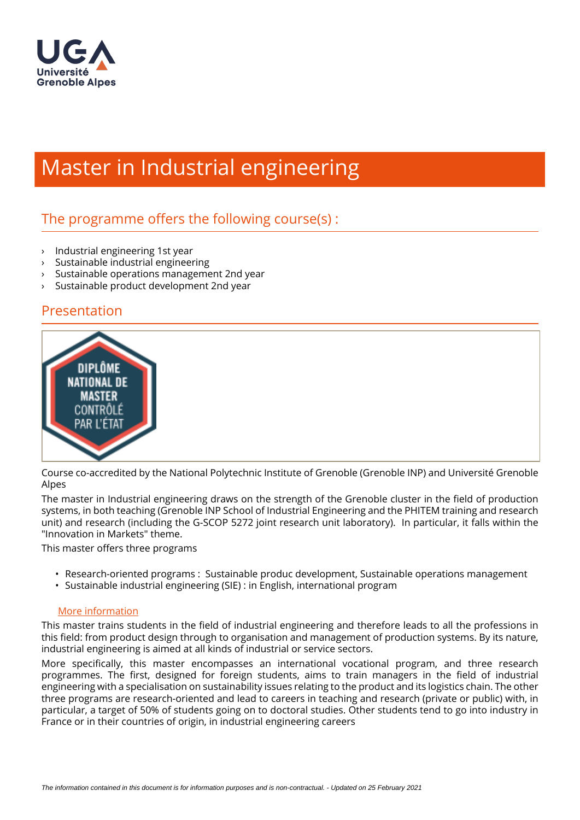

# Master in Industrial engineering

# The programme offers the following course $(s)$ :

- › Industrial engineering 1st year
- › Sustainable industrial engineering
- › Sustainable operations management 2nd year
- Sustainable product development 2nd year

#### Presentation



Course co-accredited by the National Polytechnic Institute of Grenoble (Grenoble INP) and Université Grenoble Alpes

The master in Industrial engineering draws on the strength of the Grenoble cluster in the field of production systems, in both teaching (Grenoble INP School of Industrial Engineering and the PHITEM training and research unit) and research (including the G-SCOP 5272 joint research unit laboratory). In particular, it falls within the "Innovation in Markets" theme.

This master offers three programs

- Research-oriented programs : Sustainable produc development, Sustainable operations management
- Sustainable industrial engineering (SIE) : in English, international program

#### [More information](http://genie-industriel.grenoble-inp.fr/masters/le-master-genie-industriel-223015.kjsp)

This master trains students in the field of industrial engineering and therefore leads to all the professions in this field: from product design through to organisation and management of production systems. By its nature, industrial engineering is aimed at all kinds of industrial or service sectors.

More specifically, this master encompasses an international vocational program, and three research programmes. The first, designed for foreign students, aims to train managers in the field of industrial engineering with a specialisation on sustainability issues relating to the product and its logistics chain. The other three programs are research-oriented and lead to careers in teaching and research (private or public) with, in particular, a target of 50% of students going on to doctoral studies. Other students tend to go into industry in France or in their countries of origin, in industrial engineering careers